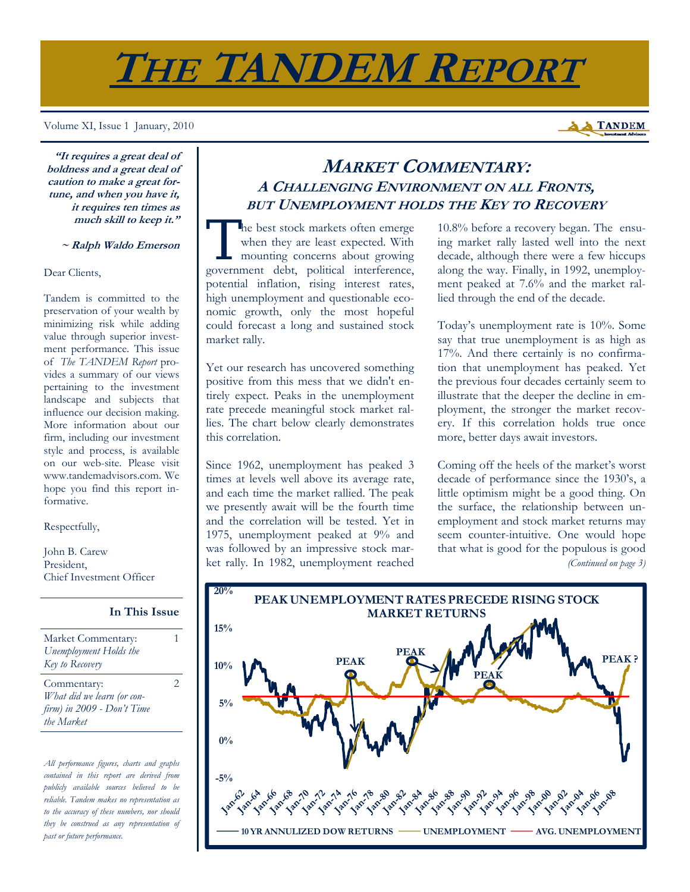# **THE TANDEM REPORT**

Volume XI, Issue 1 January, 2010

**"It requires a great deal of boldness and a great deal of caution to make a great fortune, and when you have it, it requires ten times as much skill to keep it."** 

#### **~ Ralph Waldo Emerson**

Dear Clients,

Tandem is committed to the preservation of your wealth by minimizing risk while adding value through superior investment performance. This issue of *The TANDEM Report* provides a summary of our views pertaining to the investment landscape and subjects that influence our decision making. More information about our firm, including our investment style and process, is available on our web-site. Please visit www.tandemadvisors.com. We hope you find this report informative.

Respectfully,

John B. Carew President, Chief Investment Officer

| Market Commentary:         | 1 |
|----------------------------|---|
| Unemployment Holds the     |   |
| Key to Recovery            |   |
| Commentary:                | 2 |
| What did we learn (or con- |   |
| firm) in 2009 - Don't Time |   |
| the Market                 |   |

**In This Issue**

*All performance figures, charts and graphs contained in this report are derived from publicly available sources believed to be reliable. Tandem makes no representation as to the accuracy of these numbers, nor should they be construed as any representation of past or future performance.* 

# **MARKET COMMENTARY: A CHALLENGING ENVIRONMENT ON ALL FRONTS, BUT UNEMPLOYMENT HOLDS THE KEY TO RECOVERY**

The best stock markets often emerge<br>when they are least expected. With<br>mounting concerns about growing when they are least expected. With mounting concerns about growing government debt, political interference, potential inflation, rising interest rates, high unemployment and questionable economic growth, only the most hopeful could forecast a long and sustained stock market rally.

Yet our research has uncovered something positive from this mess that we didn't entirely expect. Peaks in the unemployment rate precede meaningful stock market rallies. The chart below clearly demonstrates this correlation.

Since 1962, unemployment has peaked 3 times at levels well above its average rate, and each time the market rallied. The peak we presently await will be the fourth time and the correlation will be tested. Yet in 1975, unemployment peaked at 9% and was followed by an impressive stock market rally. In 1982, unemployment reached

10.8% before a recovery began. The ensuing market rally lasted well into the next decade, although there were a few hiccups along the way. Finally, in 1992, unemployment peaked at 7.6% and the market rallied through the end of the decade.

Today's unemployment rate is 10%. Some say that true unemployment is as high as 17%. And there certainly is no confirmation that unemployment has peaked. Yet the previous four decades certainly seem to illustrate that the deeper the decline in employment, the stronger the market recovery. If this correlation holds true once more, better days await investors.

Coming off the heels of the market's worst decade of performance since the 1930's, a little optimism might be a good thing. On the surface, the relationship between unemployment and stock market returns may seem counter-intuitive. One would hope that what is good for the populous is good *(Continued on page 3)* 



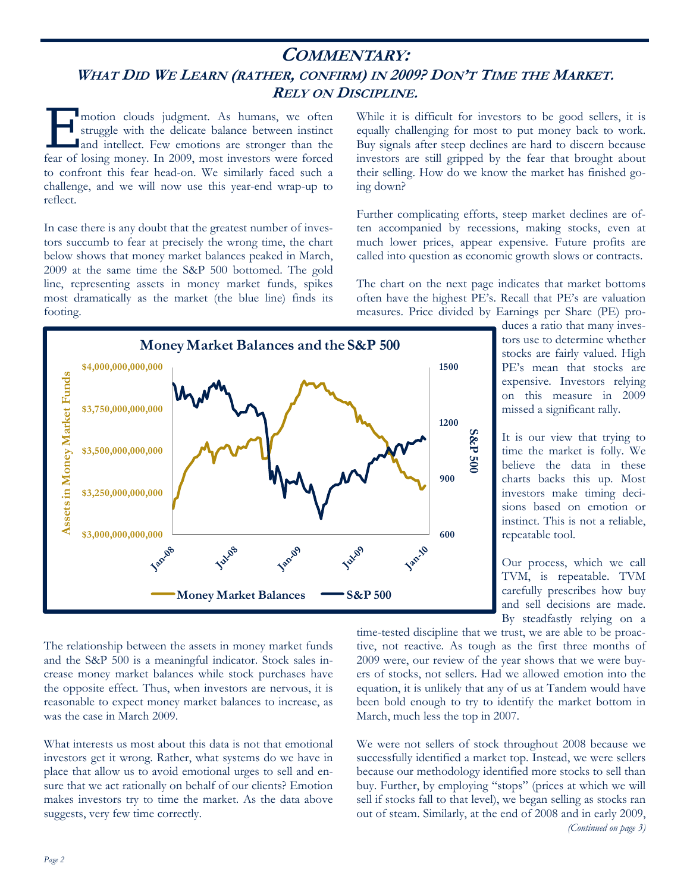# **COMMENTARY:**  WHAT DID WE LEARN (RATHER, CONFIRM) IN 2009? DON'T TIME THE MARKET. **RELY ON DISCIPLINE.**

motion clouds judgment. As humans, we often<br>struggle with the delicate balance between instinct<br>and intellect. Few emotions are stronger than the<br>fear of loging money. In 2000, most investors were forced struggle with the delicate balance between instinct and intellect. Few emotions are stronger than the fear of losing money. In 2009, most investors were forced to confront this fear head-on. We similarly faced such a challenge, and we will now use this year-end wrap-up to reflect.

In case there is any doubt that the greatest number of investors succumb to fear at precisely the wrong time, the chart below shows that money market balances peaked in March, 2009 at the same time the S&P 500 bottomed. The gold line, representing assets in money market funds, spikes most dramatically as the market (the blue line) finds its footing.

While it is difficult for investors to be good sellers, it is equally challenging for most to put money back to work. Buy signals after steep declines are hard to discern because investors are still gripped by the fear that brought about their selling. How do we know the market has finished going down?

Further complicating efforts, steep market declines are often accompanied by recessions, making stocks, even at much lower prices, appear expensive. Future profits are called into question as economic growth slows or contracts.

The chart on the next page indicates that market bottoms often have the highest PE's. Recall that PE's are valuation measures. Price divided by Earnings per Share (PE) pro-



duces a ratio that many investors use to determine whether stocks are fairly valued. High PE's mean that stocks are expensive. Investors relying on this measure in 2009 missed a significant rally.

It is our view that trying to time the market is folly. We believe the data in these charts backs this up. Most investors make timing decisions based on emotion or instinct. This is not a reliable, repeatable tool.

Our process, which we call TVM, is repeatable. TVM carefully prescribes how buy and sell decisions are made. By steadfastly relying on a

The relationship between the assets in money market funds and the S&P 500 is a meaningful indicator. Stock sales increase money market balances while stock purchases have the opposite effect. Thus, when investors are nervous, it is reasonable to expect money market balances to increase, as was the case in March 2009.

What interests us most about this data is not that emotional investors get it wrong. Rather, what systems do we have in place that allow us to avoid emotional urges to sell and ensure that we act rationally on behalf of our clients? Emotion makes investors try to time the market. As the data above suggests, very few time correctly.

time-tested discipline that we trust, we are able to be proactive, not reactive. As tough as the first three months of 2009 were, our review of the year shows that we were buyers of stocks, not sellers. Had we allowed emotion into the equation, it is unlikely that any of us at Tandem would have been bold enough to try to identify the market bottom in March, much less the top in 2007.

We were not sellers of stock throughout 2008 because we successfully identified a market top. Instead, we were sellers because our methodology identified more stocks to sell than buy. Further, by employing "stops" (prices at which we will sell if stocks fall to that level), we began selling as stocks ran out of steam. Similarly, at the end of 2008 and in early 2009, *(Continued on page 3)*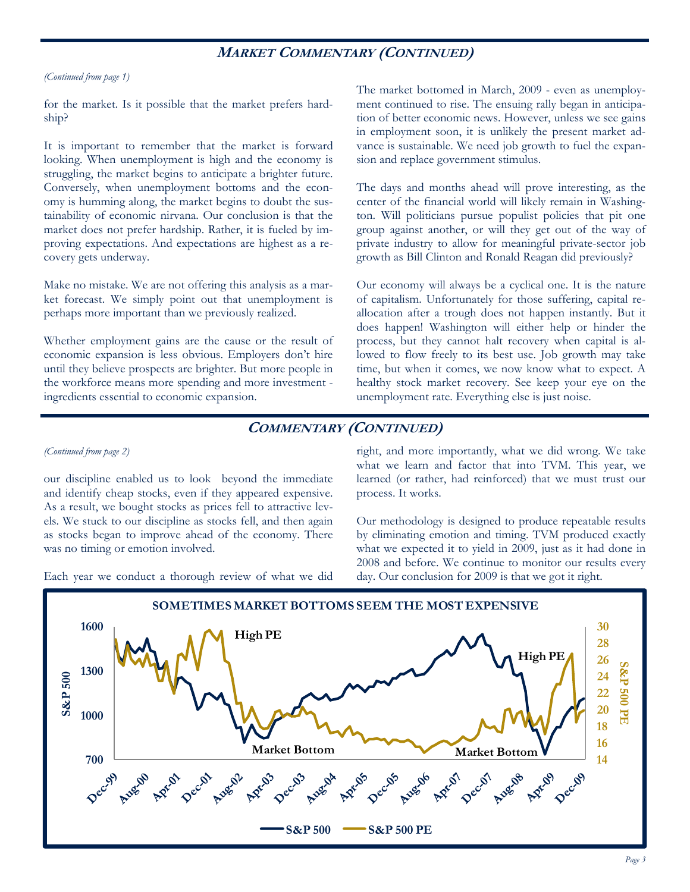## **MARKET COMMENTARY (CONTINUED)**

#### *(Continued from page 1)*

for the market. Is it possible that the market prefers hardship?

It is important to remember that the market is forward looking. When unemployment is high and the economy is struggling, the market begins to anticipate a brighter future. Conversely, when unemployment bottoms and the economy is humming along, the market begins to doubt the sustainability of economic nirvana. Our conclusion is that the market does not prefer hardship. Rather, it is fueled by improving expectations. And expectations are highest as a recovery gets underway.

Make no mistake. We are not offering this analysis as a market forecast. We simply point out that unemployment is perhaps more important than we previously realized.

Whether employment gains are the cause or the result of economic expansion is less obvious. Employers don't hire until they believe prospects are brighter. But more people in the workforce means more spending and more investment ingredients essential to economic expansion.

The market bottomed in March, 2009 - even as unemployment continued to rise. The ensuing rally began in anticipation of better economic news. However, unless we see gains in employment soon, it is unlikely the present market advance is sustainable. We need job growth to fuel the expansion and replace government stimulus.

The days and months ahead will prove interesting, as the center of the financial world will likely remain in Washington. Will politicians pursue populist policies that pit one group against another, or will they get out of the way of private industry to allow for meaningful private-sector job growth as Bill Clinton and Ronald Reagan did previously?

Our economy will always be a cyclical one. It is the nature of capitalism. Unfortunately for those suffering, capital reallocation after a trough does not happen instantly. But it does happen! Washington will either help or hinder the process, but they cannot halt recovery when capital is allowed to flow freely to its best use. Job growth may take time, but when it comes, we now know what to expect. A healthy stock market recovery. See keep your eye on the unemployment rate. Everything else is just noise.

## **COMMENTARY (CONTINUED)**

#### *(Continued from page 2)*

our discipline enabled us to look beyond the immediate and identify cheap stocks, even if they appeared expensive. As a result, we bought stocks as prices fell to attractive levels. We stuck to our discipline as stocks fell, and then again as stocks began to improve ahead of the economy. There was no timing or emotion involved.

Each year we conduct a thorough review of what we did

right, and more importantly, what we did wrong. We take what we learn and factor that into TVM. This year, we learned (or rather, had reinforced) that we must trust our process. It works.

Our methodology is designed to produce repeatable results by eliminating emotion and timing. TVM produced exactly what we expected it to yield in 2009, just as it had done in 2008 and before. We continue to monitor our results every day. Our conclusion for 2009 is that we got it right.